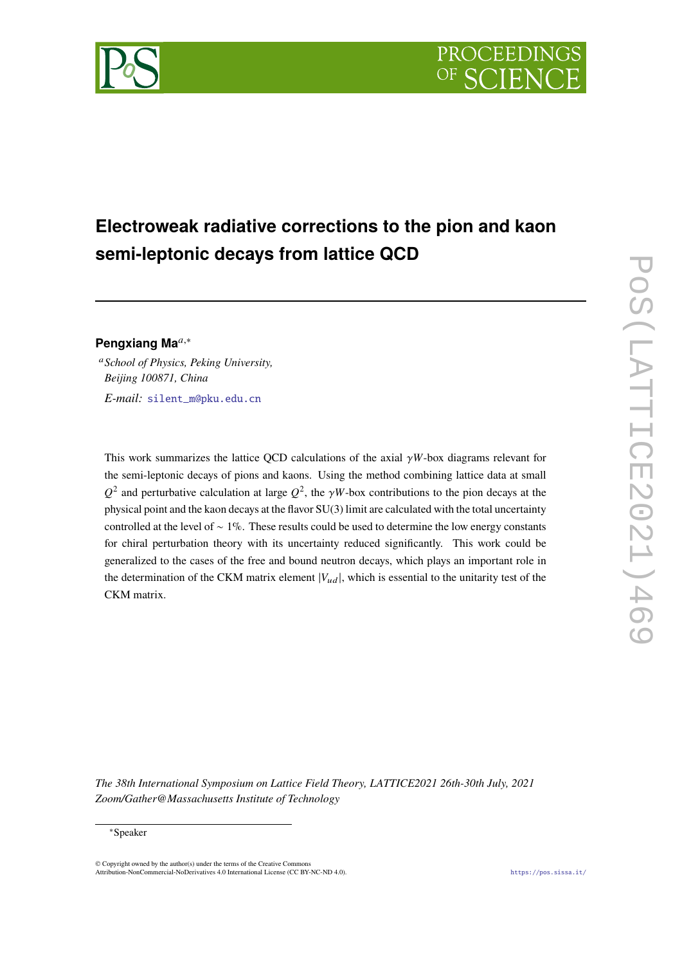

# **Electroweak radiative corrections to the pion and kaon semi-leptonic decays from lattice QCD**

# **Pengxiang Ma***,*<sup>∗</sup>

*School of Physics, Peking University, Beijing 100871, China E-mail:* [silent\\_m@pku.edu.cn](mailto:silent_m@pku.edu.cn)

This work summarizes the lattice QCD calculations of the axial  $\gamma W$ -box diagrams relevant for the semi-leptonic decays of pions and kaons. Using the method combining lattice data at small  $Q^2$  and perturbative calculation at large  $Q^2$ , the  $\gamma W$ -box contributions to the pion decays at the physical point and the kaon decays at the flavor SU(3) limit are calculated with the total uncertainty controlled at the level of ∼ 1%. These results could be used to determine the low energy constants for chiral perturbation theory with its uncertainty reduced significantly. This work could be generalized to the cases of the free and bound neutron decays, which plays an important role in the determination of the CKM matrix element  $|V_{ud}|$ , which is essential to the unitarity test of the CKM matrix.

*The 38th International Symposium on Lattice Field Theory, LATTICE2021 26th-30th July, 2021 Zoom/Gather@Massachusetts Institute of Technology*

#### ∗Speaker

 $\odot$  Copyright owned by the author(s) under the terms of the Creative Common Attribution-NonCommercial-NoDerivatives 4.0 International License (CC BY-NC-ND 4.0). <https://pos.sissa.it/>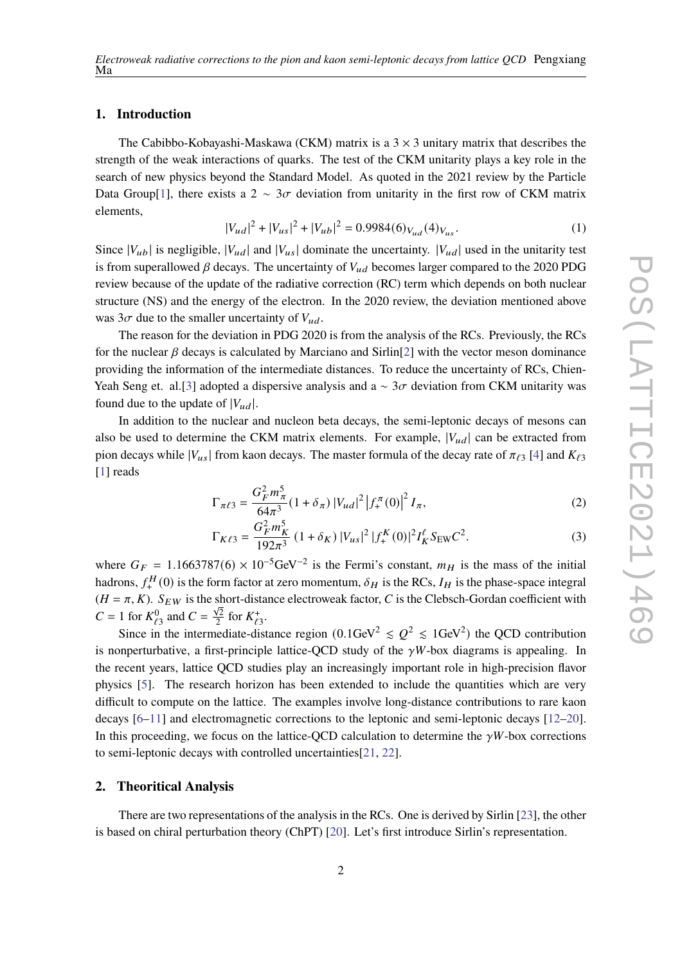# **1. Introduction**

The Cabibbo-Kobayashi-Maskawa (CKM) matrix is a  $3 \times 3$  unitary matrix that describes the strength of the weak interactions of quarks. The test of the CKM unitarity plays a key role in the search of new physics beyond the Standard Model. As quoted in the 2021 review by the Particle Data Group[[1\]](#page-6-0), there exists a 2  $\sim$  3 $\sigma$  deviation from unitarity in the first row of CKM matrix elements,

$$
|V_{ud}|^2 + |V_{us}|^2 + |V_{ub}|^2 = 0.9984(6)_{V_{ud}}(4)_{V_{us}}.
$$
 (1)

Since  $|V_{ub}|$  is negligible,  $|V_{ud}|$  and  $|V_{us}|$  dominate the uncertainty.  $|V_{ud}|$  used in the unitarity test is from superallowed  $\beta$  decays. The uncertainty of  $V_{ud}$  becomes larger compared to the 2020 PDG review because of the update of the radiative correction (RC) term which depends on both nuclear structure (NS) and the energy of the electron. In the 2020 review, the deviation mentioned above was  $3\sigma$  due to the smaller uncertainty of  $V_{ud}$ .

The reason for the deviation in PDG 2020 is from the analysis of the RCs. Previously, the RCs for the nuclear  $\beta$  decays is calculated by Marciano and Sirlin[[2\]](#page-6-1) with the vector meson dominance providing the information of the intermediate distances. To reduce the uncertainty of RCs, Chien-Yeah Seng et. al.[\[3\]](#page-6-2) adopted a dispersive analysis and a  $\sim$  3 $\sigma$  deviation from CKM unitarity was found due to the update of  $|V_{ud}|$ .

In addition to the nuclear and nucleon beta decays, the semi-leptonic decays of mesons can also be used to determine the CKM matrix elements. For example,  $|V_{ud}|$  can be extracted from pion decays while  $|V_{us}|$  from kaon decays. The master formula of the decay rate of  $\pi_{\ell_3}$  [[4](#page-6-3)] and  $K_{\ell_3}$ [[1](#page-6-0)] reads

$$
\Gamma_{\pi\ell 3} = \frac{G_F^2 m_\pi^5}{64\pi^3} (1 + \delta_\pi) |V_{ud}|^2 |f_+^{\pi}(0)|^2 I_\pi,
$$
\n(2)

$$
\Gamma_{K\ell 3} = \frac{G_F^2 m_K^5}{192\pi^3} \left(1 + \delta_K\right) |V_{us}|^2 |f_+^K(0)|^2 I_K^\ell S_{\text{EW}} C^2. \tag{3}
$$

where  $G_F = 1.1663787(6) \times 10^{-5} \text{GeV}^{-2}$  is the Fermi's constant,  $m_H$  is the mass of the initial hadrons,  $f_+^H$  $\mathcal{E}_+^H(0)$  is the form factor at zero momentum,  $\delta_H$  is the RCs,  $I_H$  is the phase-space integral  $(H = \pi, K)$ .  $S_{EW}$  is the short-distance electroweak factor, C is the Clebsch-Gordan coefficient with  $C = 1$  for  $K_{\ell_3}^0$  and  $C = \frac{\sqrt{2}}{2}$  $\frac{\sqrt{2}}{2}$  for  $K_{\ell 3}^+$ .

Since in the intermediate-distance region  $(0.1 \text{GeV}^2 \leq Q^2 \leq 1 \text{GeV}^2)$  the QCD contribution is nonperturbative, a first-principle lattice-QCD study of the  $\gamma W$ -box diagrams is appealing. In the recent years, lattice QCD studies play an increasingly important role in high-precision flavor physics [\[5\]](#page-6-4). The research horizon has been extended to include the quantities which are very difficult to compute on the lattice. The examples involve long-distance contributions to rare kaon decays [\[6](#page-6-5)[–11](#page-6-6)] and electromagnetic corrections to the leptonic and semi-leptonic decays [\[12](#page-6-7)–[20\]](#page-7-0). In this proceeding, we focus on the lattice-OCD calculation to determine the  $\gamma W$ -box corrections to semi-leptonic decays with controlled uncertainties[\[21](#page-7-1), [22](#page-7-2)].

# **2. Theoritical Analysis**

There are two representations of the analysis in the RCs. One is derived by Sirlin [[23](#page-7-3)], the other is based on chiral perturbation theory (ChPT) [\[20](#page-7-0)]. Let's first introduce Sirlin's representation.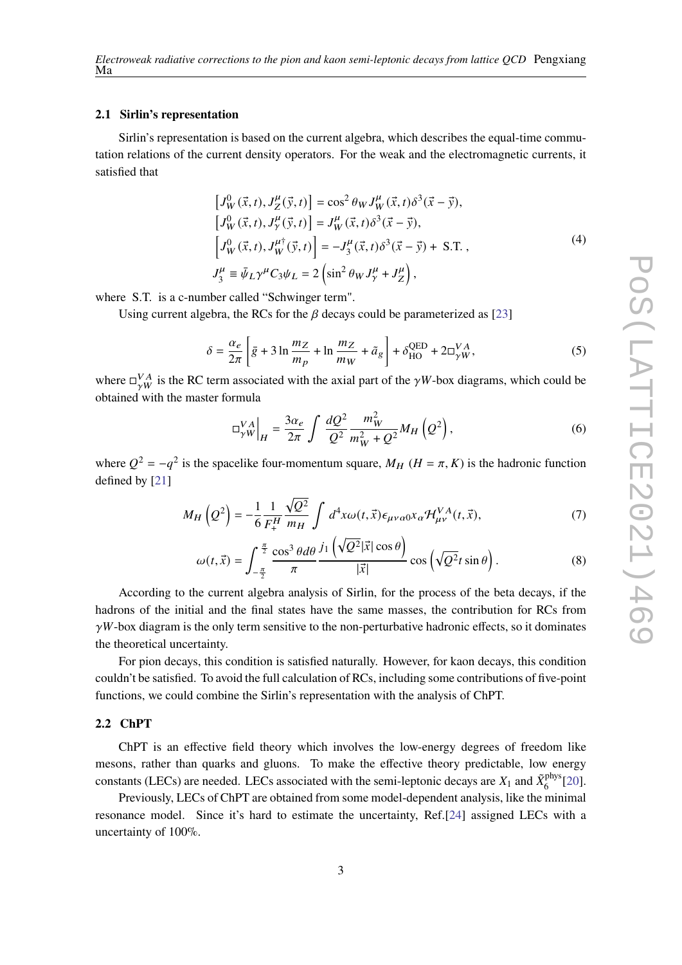#### **2.1 Sirlin's representation**

Sirlin's representation is based on the current algebra, which describes the equal-time commutation relations of the current density operators. For the weak and the electromagnetic currents, it satisfied that

$$
\begin{aligned}\n\left[J_W^0(\vec{x},t), J_Z^\mu(\vec{y},t)\right] &= \cos^2\theta_W J_W^\mu(\vec{x},t)\delta^3(\vec{x}-\vec{y}),\\ \n\left[J_W^0(\vec{x},t), J_Y^\mu(\vec{y},t)\right] &= J_W^\mu(\vec{x},t)\delta^3(\vec{x}-\vec{y}),\\ \n\left[J_W^0(\vec{x},t), J_W^{\mu\dagger}(\vec{y},t)\right] &= -J_3^\mu(\vec{x},t)\delta^3(\vec{x}-\vec{y}) + \text{S.T.}\n\end{aligned}
$$
\n(4)\n
$$
J_3^\mu \equiv \bar{\psi}_L \gamma^\mu C_3 \psi_L = 2 \left(\sin^2\theta_W J_Y^\mu + J_Z^\mu\right),
$$

where S.T. is a c-number called "Schwinger term".

Using current algebra, the RCs for the  $\beta$  decays could be parameterized as [[23\]](#page-7-3)

<span id="page-2-0"></span>
$$
\delta = \frac{\alpha_e}{2\pi} \left[ \bar{g} + 3 \ln \frac{m_Z}{m_p} + \ln \frac{m_Z}{m_W} + \tilde{a}_g \right] + \delta_{\text{HO}}^{\text{QED}} + 2\Box_{\gamma W}^{VA},\tag{5}
$$

where  $\Box_{\gamma W}^{VA}$  is the RC term associated with the axial part of the  $\gamma W$ -box diagrams, which could be obtained with the master formula

$$
\left.\Box_{\gamma W}^{VA}\right|_{H} = \frac{3\alpha_e}{2\pi} \int \frac{dQ^2}{Q^2} \frac{m_W^2}{m_W^2 + Q^2} M_H\left(Q^2\right),\tag{6}
$$

where  $Q^2 = -q^2$  is the spacelike four-momentum square,  $M_H$  ( $H = \pi, K$ ) is the hadronic function defined by [\[21](#page-7-1)]

$$
M_H\left(Q^2\right) = -\frac{1}{6} \frac{1}{F_+^H} \frac{\sqrt{Q^2}}{m_H} \int d^4x \omega(t, \vec{x}) \epsilon_{\mu\nu\alpha 0} x_\alpha \mathcal{H}_{\mu\nu}^{VA}(t, \vec{x}), \tag{7}
$$

$$
\omega(t,\vec{x}) = \int_{-\frac{\pi}{2}}^{\frac{\pi}{2}} \frac{\cos^3 \theta d\theta}{\pi} \frac{j_1\left(\sqrt{Q^2}|\vec{x}| \cos \theta\right)}{|\vec{x}|} \cos \left(\sqrt{Q^2}t \sin \theta\right). \tag{8}
$$

According to the current algebra analysis of Sirlin, for the process of the beta decays, if the hadrons of the initial and the final states have the same masses, the contribution for RCs from  $\gamma W$ -box diagram is the only term sensitive to the non-perturbative hadronic effects, so it dominates the theoretical uncertainty.

For pion decays, this condition is satisfied naturally. However, for kaon decays, this condition couldn't be satisfied. To avoid the full calculation of RCs, including some contributions of five-point functions, we could combine the Sirlin's representation with the analysis of ChPT.

### **2.2 ChPT**

ChPT is an effective field theory which involves the low-energy degrees of freedom like mesons, rather than quarks and gluons. To make the effective theory predictable, low energy constants (LECs) are needed. LECs associated with the semi-leptonic decays are  $X_1$  and  $\tilde{X}^{\text{phys}}_6$  $\frac{5}{6}$ [[20\]](#page-7-0).

Previously, LECs of ChPT are obtained from some model-dependent analysis, like the minimal resonance model. Since it's hard to estimate the uncertainty, Ref.[\[24](#page-7-4)] assigned LECs with a uncertainty of 100%.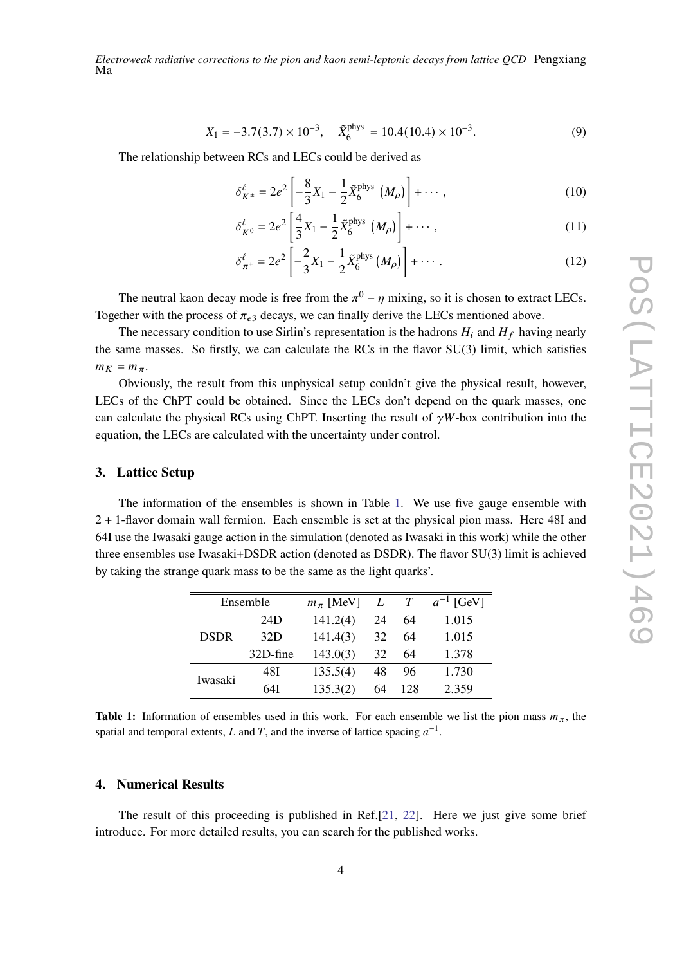$$
X_1 = -3.7(3.7) \times 10^{-3}, \quad \tilde{X}_6^{\text{phys}} = 10.4(10.4) \times 10^{-3}.
$$
 (9)

The relationship between RCs and LECs could be derived as

<span id="page-3-1"></span>
$$
\delta_{K^{\pm}}^{\ell} = 2e^2 \left[ -\frac{8}{3}X_1 - \frac{1}{2}\tilde{X}_6^{\text{phys}} \left( M_{\rho} \right) \right] + \cdots, \qquad (10)
$$

<span id="page-3-3"></span>
$$
\delta_{K^0}^{\ell} = 2e^2 \left[ \frac{4}{3} X_1 - \frac{1}{2} \tilde{X}_6^{\text{phys}} \left( M_{\rho} \right) \right] + \cdots, \tag{11}
$$

<span id="page-3-2"></span>
$$
\delta_{\pi^{\pm}}^{\ell} = 2e^2 \left[ -\frac{2}{3}X_1 - \frac{1}{2}\tilde{X}_6^{\text{phys}}\left(M_{\rho}\right) \right] + \cdots \,. \tag{12}
$$

The neutral kaon decay mode is free from the  $\pi^0 - \eta$  mixing, so it is chosen to extract LECs. Together with the process of  $\pi_{e3}$  decays, we can finally derive the LECs mentioned above.

The necessary condition to use Sirlin's representation is the hadrons  $H_i$  and  $H_f$  having nearly the same masses. So firstly, we can calculate the RCs in the flavor SU(3) limit, which satisfies  $m_K = m_\pi$ .

Obviously, the result from this unphysical setup couldn't give the physical result, however, LECs of the ChPT could be obtained. Since the LECs don't depend on the quark masses, one can calculate the physical RCs using ChPT. Inserting the result of  $\gamma W$ -box contribution into the equation, the LECs are calculated with the uncertainty under control.

### **3. Lattice Setup**

<span id="page-3-0"></span>The information of the ensembles is shown in Table [1.](#page-3-0) We use five gauge ensemble with 2 + 1-flavor domain wall fermion. Each ensemble is set at the physical pion mass. Here 48I and 64I use the Iwasaki gauge action in the simulation (denoted as Iwasaki in this work) while the other three ensembles use Iwasaki+DSDR action (denoted as DSDR). The flavor SU(3) limit is achieved by taking the strange quark mass to be the same as the light quarks'.

| Ensemble    |          | $m_\pi$ [MeV] | L  | $\tau$ | $a^{-1}$ [GeV] |
|-------------|----------|---------------|----|--------|----------------|
| <b>DSDR</b> | 24D      | 141.2(4)      | 24 | 64     | 1.015          |
|             | 32D      | 141.4(3)      | 32 | 64     | 1.015          |
|             | 32D-fine | 143.0(3)      | 32 | 64     | 1.378          |
| Iwasaki     | 48I      | 135.5(4)      | 48 | 96     | 1.730          |
|             | 64I      | 135.3(2)      | 64 | 128    | 2.359          |

**Table 1:** Information of ensembles used in this work. For each ensemble we list the pion mass  $m_{\pi}$ , the spatial and temporal extents, L and T, and the inverse of lattice spacing  $a^{-1}$ .

# **4. Numerical Results**

The result of this proceeding is published in Ref.[[21,](#page-7-1) [22\]](#page-7-2). Here we just give some brief introduce. For more detailed results, you can search for the published works.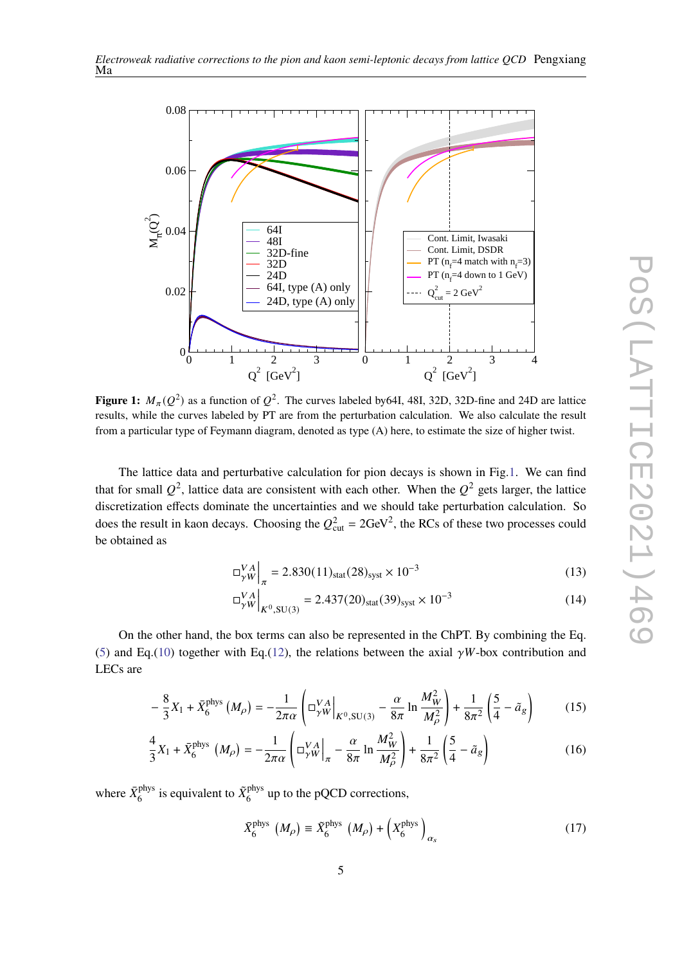

<span id="page-4-0"></span>

**Figure 1:**  $M_{\pi}(Q^2)$  as a function of  $Q^2$ . The curves labeled by 64I, 48I, 32D, 32D-fine and 24D are lattice results, while the curves labeled by PT are from the perturbation calculation. We also calculate the result from a particular type of Feymann diagram, denoted as type (A) here, to estimate the size of higher twist.

The lattice data and perturbative calculation for pion decays is shown in Fig[.1.](#page-4-0) We can find that for small  $Q^2$ , lattice data are consistent with each other. When the  $Q^2$  gets larger, the lattice discretization effects dominate the uncertainties and we should take perturbation calculation. So does the result in kaon decays. Choosing the  $Q_{\text{cut}}^2 = 2 \text{GeV}^2$ , the RCs of these two processes could be obtained as

$$
\left. \Box_{\gamma W}^{VA} \right|_{\pi} = 2.830(11)_{\text{stat}}(28)_{\text{syst}} \times 10^{-3} \tag{13}
$$

$$
\left. \square_{\gamma W}^{VA} \right|_{K^0, \text{SU(3)}} = 2.437(20)_{\text{stat}}(39)_{\text{syst}} \times 10^{-3} \tag{14}
$$

On the other hand, the box terms can also be represented in the ChPT. By combining the Eq. ([5](#page-2-0)) and Eq.([10\)](#page-3-1) together with Eq.[\(12](#page-3-2)), the relations between the axial  $\gamma W$ -box contribution and LECs are

$$
-\frac{8}{3}X_1 + \bar{X}_6^{\text{phys}}(M_\rho) = -\frac{1}{2\pi\alpha} \left( \Box_{\gamma W}^{VA} \Big|_{K^0, \text{SU(3)}} - \frac{\alpha}{8\pi} \ln \frac{M_W^2}{M_\rho^2} \right) + \frac{1}{8\pi^2} \left( \frac{5}{4} - \tilde{a}_g \right) \tag{15}
$$

$$
\frac{4}{3}X_1 + \bar{X}_6^{\text{phys}}(M_\rho) = -\frac{1}{2\pi\alpha} \left( \frac{V_A}{V_W} \bigg|_{\pi} - \frac{\alpha}{8\pi} \ln \frac{M_W^2}{M_\rho^2} \right) + \frac{1}{8\pi^2} \left( \frac{5}{4} - \tilde{a}_g \right)
$$
(16)

where  $\bar{X}^{\text{phys}}_6$ <sup>phys</sup> is equivalent to  $\tilde{X}_6^{\text{phys}}$  $6<sup>phys</sup>$  up to the pQCD corrections,

$$
\bar{X}_6^{\text{phys}}\ (M_\rho) \equiv \tilde{X}_6^{\text{phys}}\ (M_\rho) + \left(X_6^{\text{phys}}\right)_{\alpha_s} \tag{17}
$$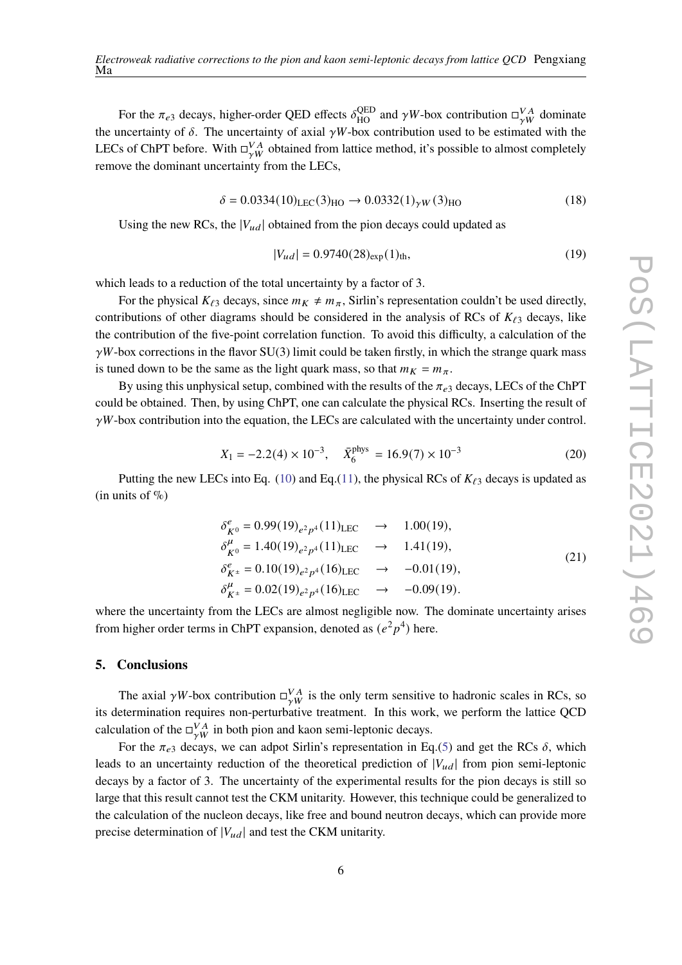For the  $\pi_{e3}$  decays, higher-order QED effects  $\delta_{HO}^{QED}$  and  $\gamma W$ -box contribution  $\Box_{\gamma W}^{VA}$  dominate the uncertainty of  $\delta$ . The uncertainty of axial  $\gamma W$ -box contribution used to be estimated with the LECs of ChPT before. With  $\Box_{\gamma W}^{VA}$  obtained from lattice method, it's possible to almost completely remove the dominant uncertainty from the LECs,

$$
\delta = 0.0334(10)_{\text{LEC}}(3)_{\text{HO}} \rightarrow 0.0332(1)_{\gamma W}(3)_{\text{HO}}
$$
 (18)

Using the new RCs, the  $|V_{ud}|$  obtained from the pion decays could updated as

$$
|V_{ud}| = 0.9740(28)_{\exp}(1)_{\text{th}},\tag{19}
$$

which leads to a reduction of the total uncertainty by a factor of 3.

For the physical  $K_{\ell 3}$  decays, since  $m_K \neq m_\pi$ , Sirlin's representation couldn't be used directly, contributions of other diagrams should be considered in the analysis of RCs of  $K_{\ell 3}$  decays, like the contribution of the five-point correlation function. To avoid this difficulty, a calculation of the  $\gamma W$ -box corrections in the flavor SU(3) limit could be taken firstly, in which the strange quark mass is tuned down to be the same as the light quark mass, so that  $m_K = m_\pi$ .

By using this unphysical setup, combined with the results of the  $\pi_{e3}$  decays, LECs of the ChPT could be obtained. Then, by using ChPT, one can calculate the physical RCs. Inserting the result of  $\gamma W$ -box contribution into the equation, the LECs are calculated with the uncertainty under control.

$$
X_1 = -2.2(4) \times 10^{-3}, \quad \bar{X}_6^{\text{phys}} = 16.9(7) \times 10^{-3}
$$
 (20)

Putting the new LECs into Eq. ([10\)](#page-3-1) and Eq.([11\)](#page-3-3), the physical RCs of *ℓ*<sup>3</sup> decays is updated as (in units of  $\%$ )

$$
\delta_{K^0}^e = 0.99(19)_{e^2p^4}(11)_{\text{LEC}} \rightarrow 1.00(19),
$$
  
\n
$$
\delta_{K^0}^\mu = 1.40(19)_{e^2p^4}(11)_{\text{LEC}} \rightarrow 1.41(19),
$$
  
\n
$$
\delta_{K^\pm}^e = 0.10(19)_{e^2p^4}(16)_{\text{LEC}} \rightarrow -0.01(19),
$$
  
\n
$$
\delta_{K^\pm}^\mu = 0.02(19)_{e^2p^4}(16)_{\text{LEC}} \rightarrow -0.09(19).
$$
\n(21)

where the uncertainty from the LECs are almost negligible now. The dominate uncertainty arises from higher order terms in ChPT expansion, denoted as  $(e^2p^4)$  here.

# **5. Conclusions**

The axial  $\gamma W$ -box contribution  $\Box_{\gamma W}^{VA}$  is the only term sensitive to hadronic scales in RCs, so its determination requires non-perturbative treatment. In this work, we perform the lattice QCD calculation of the  $\Box_{\gamma W}^{VA}$  in both pion and kaon semi-leptonic decays.

For the  $\pi_{e3}$  decays, we can adpot Sirlin's representation in Eq.[\(5](#page-2-0)) and get the RCs  $\delta$ , which leads to an uncertainty reduction of the theoretical prediction of  $|V_{ud}|$  from pion semi-leptonic decays by a factor of 3. The uncertainty of the experimental results for the pion decays is still so large that this result cannot test the CKM unitarity. However, this technique could be generalized to the calculation of the nucleon decays, like free and bound neutron decays, which can provide more precise determination of  $|V_{ud}|$  and test the CKM unitarity.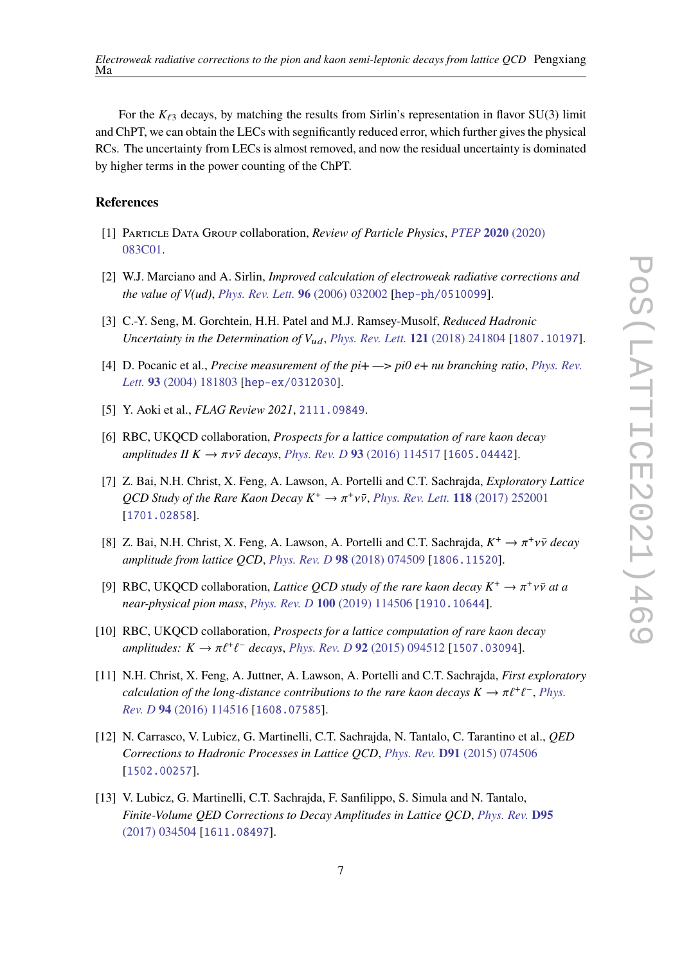For the  $K_{\ell3}$  decays, by matching the results from Sirlin's representation in flavor SU(3) limit and ChPT, we can obtain the LECs with segnificantly reduced error, which further gives the physical RCs. The uncertainty from LECs is almost removed, and now the residual uncertainty is dominated by higher terms in the power counting of the ChPT.

# **References**

- <span id="page-6-0"></span>[1] Particle Data Group collaboration, *Review of Particle Physics*, *PTEP* **2020** [\(2020\)](https://doi.org/10.1093/ptep/ptaa104) [083C01.](https://doi.org/10.1093/ptep/ptaa104)
- <span id="page-6-1"></span>[2] W.J. Marciano and A. Sirlin, *Improved calculation of electroweak radiative corrections and the value of V(ud)*, *[Phys. Rev. Lett.](https://doi.org/10.1103/PhysRevLett.96.032002)* **96** (2006) 032002 [[hep-ph/0510099](https://arxiv.org/abs/hep-ph/0510099)].
- <span id="page-6-2"></span>[3] C.-Y. Seng, M. Gorchtein, H.H. Patel and M.J. Ramsey-Musolf, *Reduced Hadronic Uncertainty in the Determination of*  $V_{ud}$ , *[Phys. Rev. Lett.](https://doi.org/10.1103/PhysRevLett.121.241804)* **121** (2018) 241804 [[1807.10197](https://arxiv.org/abs/1807.10197)].
- <span id="page-6-3"></span>[4] D. Pocanic et al., *Precise measurement of the pi+ —> pi0 e+ nu branching ratio*, *[Phys. Rev.](https://doi.org/10.1103/PhysRevLett.93.181803) Lett.* **93** [\(2004\) 181803](https://doi.org/10.1103/PhysRevLett.93.181803) [[hep-ex/0312030](https://arxiv.org/abs/hep-ex/0312030)].
- <span id="page-6-4"></span>[5] Y. Aoki et al., *FLAG Review 2021*, [2111.09849](https://arxiv.org/abs/2111.09849).
- <span id="page-6-5"></span>[6] RBC, UKQCD collaboration, *Prospects for a lattice computation of rare kaon decay*  $amplitudes \, \text{II} \, \text{K} \to \pi \nu \bar{\nu} \, \text{decays}, \, \text{Phys.} \, \text{Rev.} \, D \, 93 \, (2016) \, 114517 \, [1605.04442].$  $amplitudes \, \text{II} \, \text{K} \to \pi \nu \bar{\nu} \, \text{decays}, \, \text{Phys.} \, \text{Rev.} \, D \, 93 \, (2016) \, 114517 \, [1605.04442].$  $amplitudes \, \text{II} \, \text{K} \to \pi \nu \bar{\nu} \, \text{decays}, \, \text{Phys.} \, \text{Rev.} \, D \, 93 \, (2016) \, 114517 \, [1605.04442].$
- [7] Z. Bai, N.H. Christ, X. Feng, A. Lawson, A. Portelli and C.T. Sachrajda, *Exploratory Lattice*  $QCD$  Study of the Rare Kaon Decay  $K^+ \to \pi^+ \nu \bar{\nu}$ , *[Phys. Rev. Lett.](https://doi.org/10.1103/PhysRevLett.118.252001)* **118** (2017) 252001 [[1701.02858](https://arxiv.org/abs/1701.02858)].
- [8] Z. Bai, N.H. Christ, X. Feng, A. Lawson, A. Portelli and C.T. Sachrajda,  $K^+ \to \pi^+ \nu \bar{\nu}$  decay *amplitude from lattice QCD*, *Phys. Rev. D* **98** [\(2018\) 074509](https://doi.org/10.1103/PhysRevD.98.074509) [[1806.11520](https://arxiv.org/abs/1806.11520)].
- [9] RBC, UKQCD collaboration, *Lattice QCD study of the rare kaon decay*  $K^+ \to \pi^+ \nu \bar{\nu}$  at a *near-physical pion mass*, *Phys. Rev. D* **100** [\(2019\) 114506](https://doi.org/10.1103/PhysRevD.100.114506) [[1910.10644](https://arxiv.org/abs/1910.10644)].
- [10] RBC, UKQCD collaboration, *Prospects for a lattice computation of rare kaon decay*  $amplitudes: K \to \pi \ell^+ \ell^-$  decays, *Phys. Rev. D* **92** [\(2015\) 094512](https://doi.org/10.1103/PhysRevD.92.094512) [[1507.03094](https://arxiv.org/abs/1507.03094)].
- <span id="page-6-6"></span>[11] N.H. Christ, X. Feng, A. Juttner, A. Lawson, A. Portelli and C.T. Sachrajda, *First exploratory*  $\alpha$  *calculation of the long-distance contributions to the rare kaon decays*  $K \to \pi \ell^+ \ell^-$ , *[Phys.](https://doi.org/10.1103/PhysRevD.94.114516) Rev. D* **94** [\(2016\) 114516](https://doi.org/10.1103/PhysRevD.94.114516) [[1608.07585](https://arxiv.org/abs/1608.07585)].
- <span id="page-6-7"></span>[12] N. Carrasco, V. Lubicz, G. Martinelli, C.T. Sachrajda, N. Tantalo, C. Tarantino et al., *QED Corrections to Hadronic Processes in Lattice QCD*, *Phys. Rev.* **D91** [\(2015\) 074506](https://doi.org/10.1103/PhysRevD.91.074506) [[1502.00257](https://arxiv.org/abs/1502.00257)].
- [13] V. Lubicz, G. Martinelli, C.T. Sachrajda, F. Sanfilippo, S. Simula and N. Tantalo, *Finite-Volume QED Corrections to Decay Amplitudes in Lattice QCD*, *[Phys. Rev.](https://doi.org/10.1103/PhysRevD.95.034504)* **D95** [\(2017\) 034504](https://doi.org/10.1103/PhysRevD.95.034504) [[1611.08497](https://arxiv.org/abs/1611.08497)].